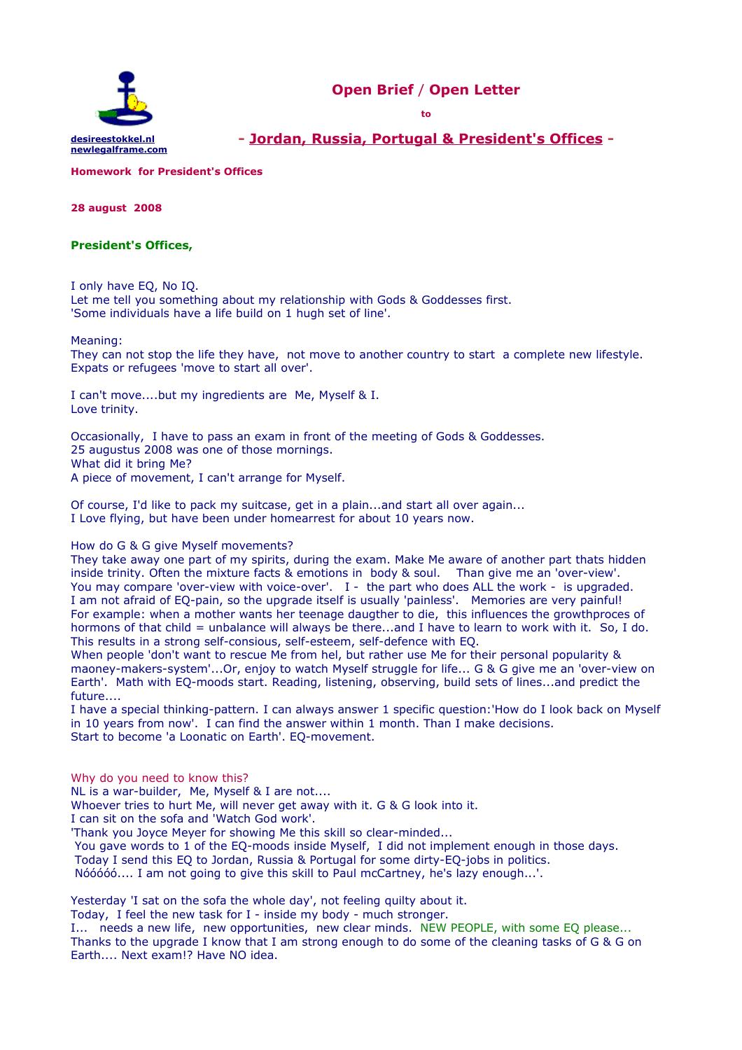



**- [Jordan, Russia, Portugal & President's Offices](http://www.mfa.gov.jo/wps/portal/FMEnglishSite?WCM_GLOBAL_CONTEXT=/wps/wcm/connect/Foreign+Ministry+WS/Home/) -**

**Homework for President's Offices** 

**28 august 2008**

# **President's Offices,**

I only have EQ, No IQ.

Let me tell you something about my relationship with Gods & Goddesses first. 'Some individuals have a life build on 1 hugh set of line'.

### Meaning:

They can not stop the life they have, not move to another country to start a complete new lifestyle. Expats or refugees 'move to start all over'.

I can't move....but my ingredients are Me, Myself & I. Love trinity.

Occasionally, I have to pass an exam in front of the meeting of Gods & Goddesses. 25 augustus 2008 was one of those mornings. What did it bring Me? A piece of movement, I can't arrange for Myself.

Of course, I'd like to pack my suitcase, get in a plain...and start all over again... I Love flying, but have been under homearrest for about 10 years now.

## How do G & G give Myself movements?

They take away one part of my spirits, during the exam. Make Me aware of another part thats hidden inside trinity. Often the mixture facts & emotions in body & soul. Than give me an 'over-view'. You may compare 'over-view with voice-over'. I - the part who does ALL the work - is upgraded. I am not afraid of EQ-pain, so the upgrade itself is usually 'painless'. Memories are very painful! For example: when a mother wants her teenage daugther to die, this influences the growthproces of hormons of that child = unbalance will always be there...and I have to learn to work with it. So, I do. This results in a strong self-consious, self-esteem, self-defence with EQ.

When people 'don't want to rescue Me from hel, but rather use Me for their personal popularity & maoney-makers-system'...Or, enjoy to watch Myself struggle for life... G & G give me an 'over-view on Earth'. Math with EQ-moods start. Reading, listening, observing, build sets of lines...and predict the future....

I have a special thinking-pattern. I can always answer 1 specific question:'How do I look back on Myself in 10 years from now'. I can find the answer within 1 month. Than I make decisions. Start to become 'a Loonatic on Earth'. EQ-movement.

Why do you need to know this?

NL is a war-builder, Me, Myself & I are not....

Whoever tries to hurt Me, will never get away with it. G & G look into it.

I can sit on the sofa and 'Watch God work'.

'Thank you Joyce Meyer for showing Me this skill so clear-minded...

You gave words to 1 of the EQ-moods inside Myself, I did not implement enough in those days.

Today I send this EQ to Jordan, Russia & Portugal for some dirty-EQ-jobs in politics.

Nóóóóó.... I am not going to give this skill to Paul mcCartney, he's lazy enough...'.

Yesterday 'I sat on the sofa the whole day', not feeling quilty about it.

Today, I feel the new task for I - inside my body - much stronger.

I... needs a new life, new opportunities, new clear minds. NEW PEOPLE, with some EO please... Thanks to the upgrade I know that I am strong enough to do some of the cleaning tasks of G & G on Earth.... Next exam!? Have NO idea.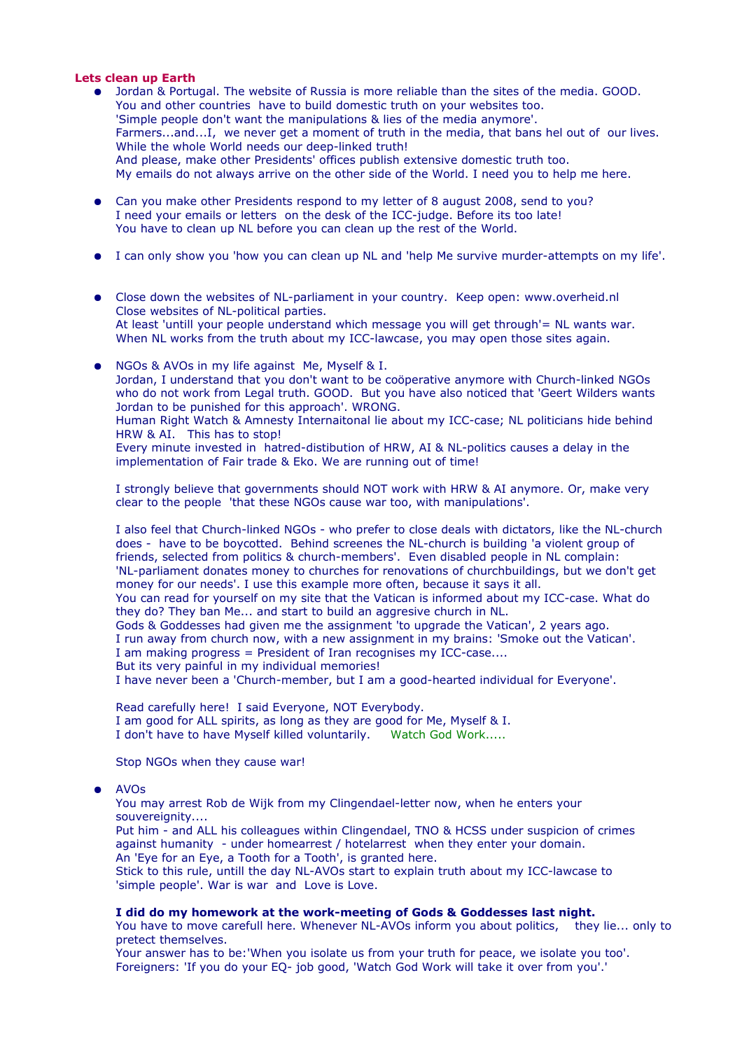# **Lets clean up Earth**

- Jordan & Portugal. The website of Russia is more reliable than the sites of the media. GOOD. You and other countries have to build domestic truth on your websites too. 'Simple people don't want the manipulations & lies of the media anymore'. Farmers...and...I, we never get a moment of truth in the media, that bans hel out of our lives. While the whole World needs our deep-linked truth! And please, make other Presidents' offices publish extensive domestic truth too. My emails do not always arrive on the other side of the World. I need you to help me here.
- Can you make other Presidents respond to my letter of 8 august 2008, send to you? I need your emails or letters on the desk of the ICC-judge. Before its too late! You have to clean up NL before you can clean up the rest of the World.
- I can only show you 'how you can clean up NL and 'help Me survive murder-attempts on my life'.
- Close down the websites of NL-parliament in your country. Keep open: www.overheid.nl Close websites of NL-political parties. At least 'untill your people understand which message you will get through'= NL wants war. When NL works from the truth about my ICC-lawcase, you may open those sites again.
- NGOs & AVOs in my life against Me, Myself & I. Jordan, I understand that you don't want to be coöperative anymore with Church-linked NGOs who do not work from Legal truth. GOOD. But you have also noticed that 'Geert Wilders wants Jordan to be punished for this approach'. WRONG. Human Right Watch & Amnesty Internaitonal lie about my ICC-case; NL politicians hide behind HRW & AI. This has to stop! Every minute invested in hatred-distibution of HRW, AI & NL-politics causes a delay in the implementation of Fair trade & Eko. We are running out of time!

I strongly believe that governments should NOT work with HRW & AI anymore. Or, make very clear to the people 'that these NGOs cause war too, with manipulations'.

I also feel that Church-linked NGOs - who prefer to close deals with dictators, like the NL-church does - have to be boycotted. Behind screenes the NL-church is building 'a violent group of friends, selected from politics & church-members'. Even disabled people in NL complain: 'NL-parliament donates money to churches for renovations of churchbuildings, but we don't get money for our needs'. I use this example more often, because it says it all. You can read for yourself on my site that the Vatican is informed about my ICC-case. What do they do? They ban Me... and start to build an aggresive church in NL. Gods & Goddesses had given me the assignment 'to upgrade the Vatican', 2 years ago. I run away from church now, with a new assignment in my brains: 'Smoke out the Vatican'. I am making progress = President of Iran recognises my ICC-case....

But its very painful in my individual memories! I have never been a 'Church-member, but I am a good-hearted individual for Everyone'.

Read carefully here! I said Everyone, NOT Everybody. I am good for ALL spirits, as long as they are good for Me, Myself & I. I don't have to have Myself killed voluntarily. Watch God Work.....

Stop NGOs when they cause war!

## ● AVOs

You may arrest Rob de Wijk from my Clingendael-letter now, when he enters your souvereignity....

Put him - and ALL his colleagues within Clingendael, TNO & HCSS under suspicion of crimes against humanity - under homearrest / hotelarrest when they enter your domain. An 'Eye for an Eye, a Tooth for a Tooth', is granted here.

Stick to this rule, untill the day NL-AVOs start to explain truth about my ICC-lawcase to 'simple people'. War is war and Love is Love.

## **I did do my homework at the work-meeting of Gods & Goddesses last night.**

You have to move carefull here. Whenever NL-AVOs inform you about politics, they lie... only to pretect themselves.

Your answer has to be:'When you isolate us from your truth for peace, we isolate you too'. Foreigners: 'If you do your EQ- job good, 'Watch God Work will take it over from you'.'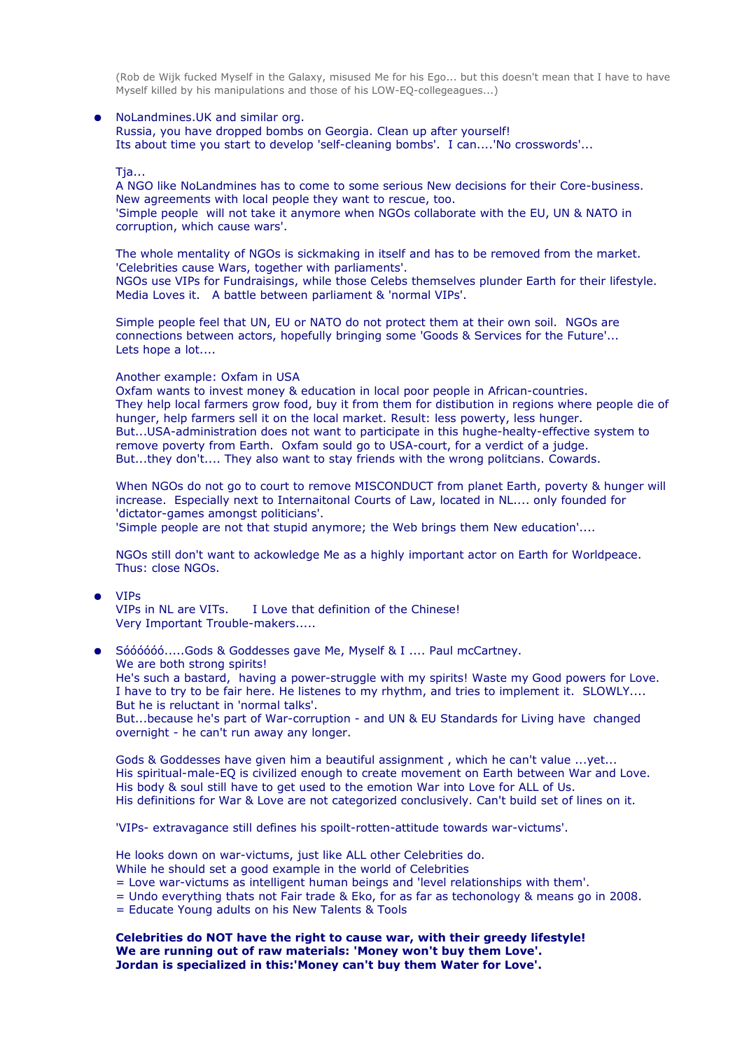(Rob de Wijk fucked Myself in the Galaxy, misused Me for his Ego... but this doesn't mean that I have to have Myself killed by his manipulations and those of his LOW-EQ-collegeagues...)

## ● NoLandmines.UK and similar org.

Russia, you have dropped bombs on Georgia. Clean up after yourself! Its about time you start to develop 'self-cleaning bombs'. I can....'No crosswords'...

#### Tja...

A NGO like NoLandmines has to come to some serious New decisions for their Core-business. New agreements with local people they want to rescue, too. 'Simple people will not take it anymore when NGOs collaborate with the EU, UN & NATO in corruption, which cause wars'.

The whole mentality of NGOs is sickmaking in itself and has to be removed from the market. 'Celebrities cause Wars, together with parliaments'. NGOs use VIPs for Fundraisings, while those Celebs themselves plunder Earth for their lifestyle. Media Loves it. A battle between parliament & 'normal VIPs'.

Simple people feel that UN, EU or NATO do not protect them at their own soil. NGOs are connections between actors, hopefully bringing some 'Goods & Services for the Future'... Lets hope a lot....

### Another example: Oxfam in USA

Oxfam wants to invest money & education in local poor people in African-countries. They help local farmers grow food, buy it from them for distibution in regions where people die of hunger, help farmers sell it on the local market. Result: less powerty, less hunger. But...USA-administration does not want to participate in this hughe-healty-effective system to remove poverty from Earth. Oxfam sould go to USA-court, for a verdict of a judge. But...they don't.... They also want to stay friends with the wrong politcians. Cowards.

When NGOs do not go to court to remove MISCONDUCT from planet Earth, poverty & hunger will increase. Especially next to Internaitonal Courts of Law, located in NL.... only founded for 'dictator-games amongst politicians'.

'Simple people are not that stupid anymore; the Web brings them New education'....

NGOs still don't want to ackowledge Me as a highly important actor on Earth for Worldpeace. Thus: close NGOs.

• VIPs<br>VIPs in NL are VITs. I Love that definition of the Chinese! Very Important Trouble-makers.....

● Sóóóóóó.....Gods & Goddesses gave Me, Myself & I .... Paul mcCartney. We are both strong spirits! He's such a bastard, having a power-struggle with my spirits! Waste my Good powers for Love. I have to try to be fair here. He listenes to my rhythm, and tries to implement it. SLOWLY.... But he is reluctant in 'normal talks'. But...because he's part of War-corruption - and UN & EU Standards for Living have changed

overnight - he can't run away any longer.

Gods & Goddesses have given him a beautiful assignment , which he can't value ...yet... His spiritual-male-EQ is civilized enough to create movement on Earth between War and Love. His body & soul still have to get used to the emotion War into Love for ALL of Us. His definitions for War & Love are not categorized conclusively. Can't build set of lines on it.

'VIPs- extravagance still defines his spoilt-rotten-attitude towards war-victums'.

He looks down on war-victums, just like ALL other Celebrities do. While he should set a good example in the world of Celebrities

= Love war-victums as intelligent human beings and 'level relationships with them'.

- = Undo everything thats not Fair trade & Eko, for as far as techonology & means go in 2008.
- = Educate Young adults on his New Talents & Tools

**Celebrities do NOT have the right to cause war, with their greedy lifestyle! We are running out of raw materials: 'Money won't buy them Love'. Jordan is specialized in this:'Money can't buy them Water for Love'.**